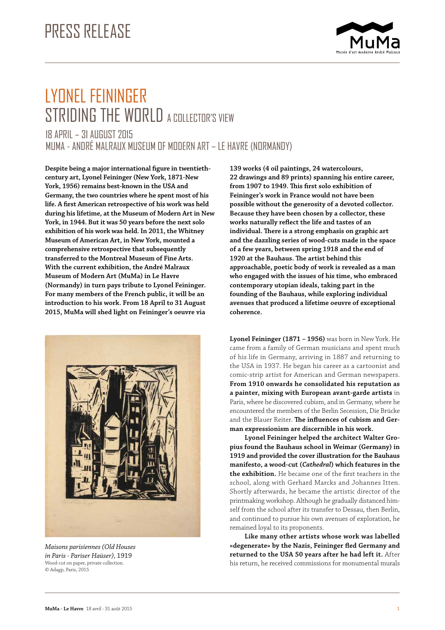

# LYONEL FEININGER STRIDING THE WORLD A COLLECTOR'S VIEW 18 APRIL – 31 AUGUST 2015

MUMA - ANDRÉ MALRAUX MUSEUM OF MODERN ART – LE HAVRE (NORMANDY)

**Despite being a major international figure in twentiethcentury art, Lyonel Feininger (New York, 1871-New York, 1956) remains best-known in the USA and Germany, the two countries where he spent most of his life. A first American retrospective of his work was held during his lifetime, at the Museum of Modern Art in New York, in 1944. But it was 50 years before the next solo exhibition of his work was held. In 2011, the Whitney Museum of American Art, in New York, mounted a comprehensive retrospective that subsequently transferred to the Montreal Museum of Fine Arts. With the current exhibition, the André Malraux Museum of Modern Art (MuMa) in Le Havre (Normandy) in turn pays tribute to Lyonel Feininger. For many members of the French public, it will be an introduction to his work. From 18 April to 31 August 2015, MuMa will shed light on Feininger's oeuvre via** 



*Maisons parisiennes (Old Houses in Paris - Pariser Haüser),* 1919 Wood-cut on paper, private collection. © Adagp, Paris, 2015

**139 works (4 oil paintings, 24 watercolours, 22 drawings and 89 prints) spanning his entire career, from 1907 to 1949. This first solo exhibition of Feininger's work in France would not have been possible without the generosity of a devoted collector. Because they have been chosen by a collector, these works naturally reflect the life and tastes of an individual. There is a strong emphasis on graphic art and the dazzling series of wood-cuts made in the space of a few years, between spring 1918 and the end of 1920 at the Bauhaus. The artist behind this approachable, poetic body of work is revealed as a man who engaged with the issues of his time, who embraced contemporary utopian ideals, taking part in the founding of the Bauhaus, while exploring individual avenues that produced a lifetime oeuvre of exceptional coherence.**

**Lyonel Feininger (1871 – 1956)** was born in New York. He came from a family of German musicians and spent much of his life in Germany, arriving in 1887 and returning to the USA in 1937. He began his career as a cartoonist and comic-strip artist for American and German newspapers. **From 1910 onwards he consolidated his reputation as a painter, mixing with European avant-garde artists** in Paris, where he discovered cubism, and in Germany, where he encountered the members of the Berlin Secession, Die Brücke and the Blauer Reiter. **The influences of cubism and German expressionism are discernible in his work.**

**Lyonel Feininger helped the architect Walter Gropius found the Bauhaus school in Weimar (Germany) in 1919 and provided the cover illustration for the Bauhaus manifesto, a wood-cut (***Cathedral***) which features in the the exhibition.** He became one of the first teachers in the school, along with Gerhard Marcks and Johannes Itten. Shortly afterwards, he became the artistic director of the printmaking workshop. Although he gradually distanced himself from the school after its transfer to Dessau, then Berlin, and continued to pursue his own avenues of exploration, he remained loyal to its proponents.

**Like many other artists whose work was labelled «degenerate» by the Nazis, Feininger fled Germany and returned to the USA 50 years after he had left it.** After his return, he received commissions for monumental murals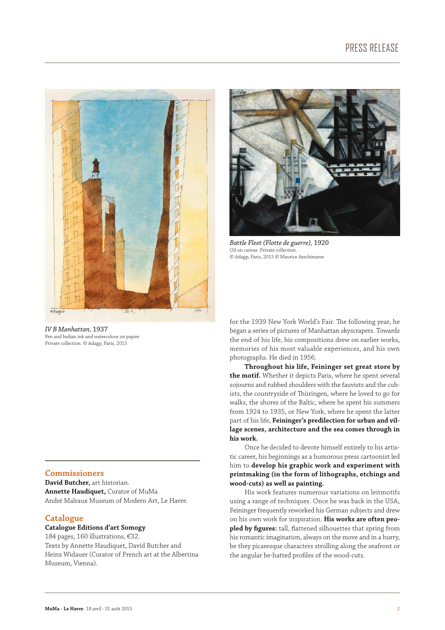

*IV B Manhattan,* 1937 Pen and Indian ink and watercolour on papier Private collection. © Adagp, Paris, 2015

## **Commissioners**

**David Butcher,** art historian. **Annette Haudiquet,** Curator of MuMa André Malraux Museum of Modern Art, Le Havre.

### **Catalogue**

# **Catalogue Editions d'art Somogy**

184 pages, 160 illustrations, €32. Texts by Annette Haudiquet, David Butcher and Heinz Widauer (Curator of French art at the Albertina Museum, Vienna).



*Battle Fleet (Flotte de guerre),* 1920 Oil on canvas. Private collection. © Adagp, Paris, 2015 © Maurice Aeschimann

for the 1939 New York World's Fair. The following year, he began a series of pictures of Manhattan skyscrapers. Towards the end of his life, his compositions drew on earlier works, memories of his most valuable experiences, and his own photographs. He died in 1956.

**Throughout his life, Feininger set great store by the motif.** Whether it depicts Paris, where he spent several sojourns and rubbed shoulders with the fauvists and the cubists, the countryside of Thüringen, where he loved to go for walks, the shores of the Baltic, where he spent his summers from 1924 to 1935, or New York, where he spent the latter part of his life, **Feininger's predilection for urban and village scenes, architecture and the sea comes through in his work.**

Once he decided to devote himself entirely to his artistic career, his beginnings as a humorous press cartoonist led him to **develop his graphic work and experiment with printmaking (in the form of lithographs, etchings and wood-cuts) as well as painting.**

His work features numerous variations on leitmotifs using a range of techniques. Once he was back in the USA, Feininger frequently reworked his German subjects and drew on his own work for inspiration. **His works are often peopled by figures:** tall, flattened silhouettes that spring from his romantic imagination, always on the move and in a hurry, be they picaresque characters strolling along the seafront or the angular be-hatted profiles of the wood-cuts.